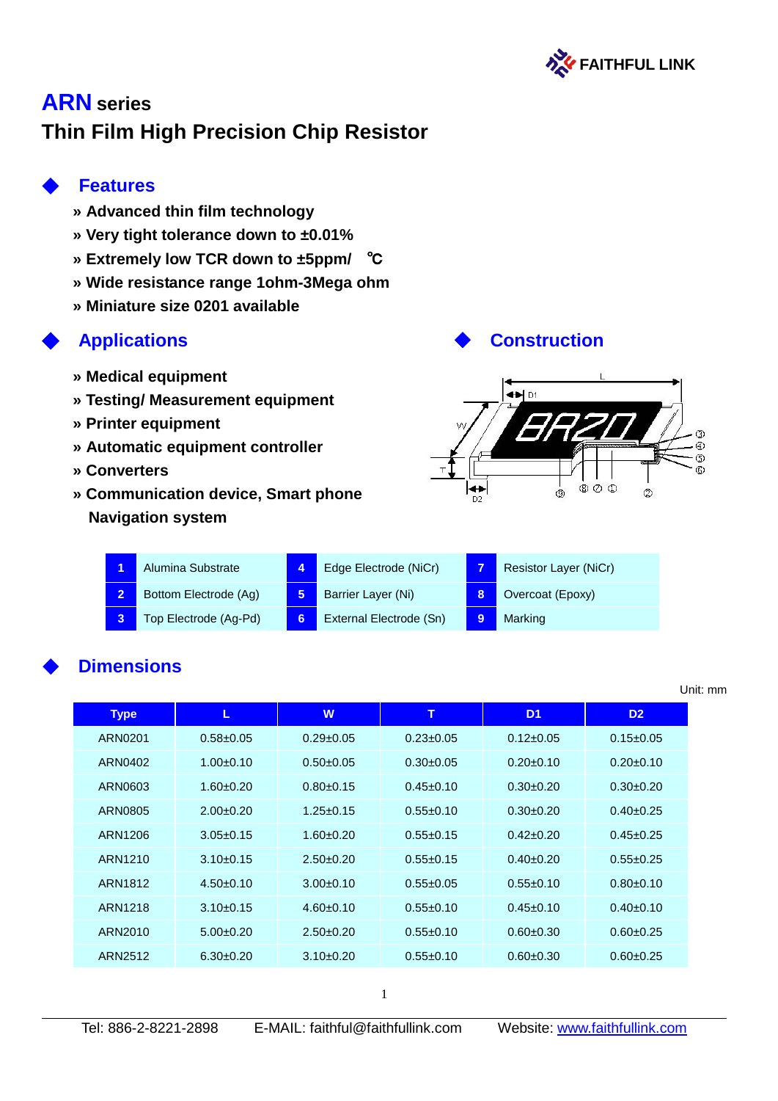

# **ARN series Thin Film High Precision Chip Resistor**

# ◆ **Features**

- **» Advanced thin film technology**
- **» Very tight tolerance down to ±0.01%**
- **» Extremely low TCR down to ±5ppm/** ℃
- **» Wide resistance range 1ohm-3Mega ohm**
- **» Miniature size 0201 available**

- **» Medical equipment**
- **» Testing/ Measurement equipment**
- **» Printer equipment**
- **» Automatic equipment controller**
- **» Converters**
- **» Communication device, Smart phone Navigation system**

# ◆ **Applications** ◆ **Construction**



|  | Alumina Substrate     | Edge Electrode (NiCr)   |   | Resistor Layer (NiCr) |
|--|-----------------------|-------------------------|---|-----------------------|
|  | Bottom Electrode (Ag) | Barrier Layer (Ni)      |   | Overcoat (Epoxy)      |
|  | Top Electrode (Ag-Pd) | External Electrode (Sn) | 9 | Marking               |

# **Dimensions**

| <b>Type</b> | L.            | W               | т               | D <sub>1</sub>  | D <sub>2</sub>  |
|-------------|---------------|-----------------|-----------------|-----------------|-----------------|
| ARN0201     | $0.58 + 0.05$ | $0.29 \pm 0.05$ | $0.23 \pm 0.05$ | $0.12 \pm 0.05$ | $0.15 \pm 0.05$ |
| ARN0402     | $1.00 + 0.10$ | $0.50 + 0.05$   | $0.30 + 0.05$   | $0.20 + 0.10$   | $0.20 + 0.10$   |
| ARN0603     | $1.60 + 0.20$ | $0.80 + 0.15$   | $0.45 + 0.10$   | $0.30+0.20$     | $0.30 + 0.20$   |
| ARN0805     | $2.00+0.20$   | $1.25 \pm 0.15$ | $0.55 \pm 0.10$ | $0.30 \pm 0.20$ | $0.40 \pm 0.25$ |
| ARN1206     | $3.05 + 0.15$ | $1.60 + 0.20$   | $0.55 + 0.15$   | $0.42 + 0.20$   | $0.45 + 0.25$   |
| ARN1210     | $3.10 + 0.15$ | $2.50 + 0.20$   | $0.55 + 0.15$   | $0.40 + 0.20$   | $0.55 + 0.25$   |
| ARN1812     | $4.50+0.10$   | $3.00+0.10$     | $0.55 \pm 0.05$ | $0.55 \pm 0.10$ | $0.80+0.10$     |
| ARN1218     | $3.10+0.15$   | $4.60 + 0.10$   | $0.55 + 0.10$   | $0.45 + 0.10$   | $0.40 + 0.10$   |
| ARN2010     | $5.00 + 0.20$ | $2.50 + 0.20$   | $0.55 + 0.10$   | $0.60 + 0.30$   | $0.60 + 0.25$   |
| ARN2512     | $6.30+0.20$   | $3.10+0.20$     | $0.55 \pm 0.10$ | $0.60 + 0.30$   | $0.60 \pm 0.25$ |

 $\overline{a}$ 

Unit: mm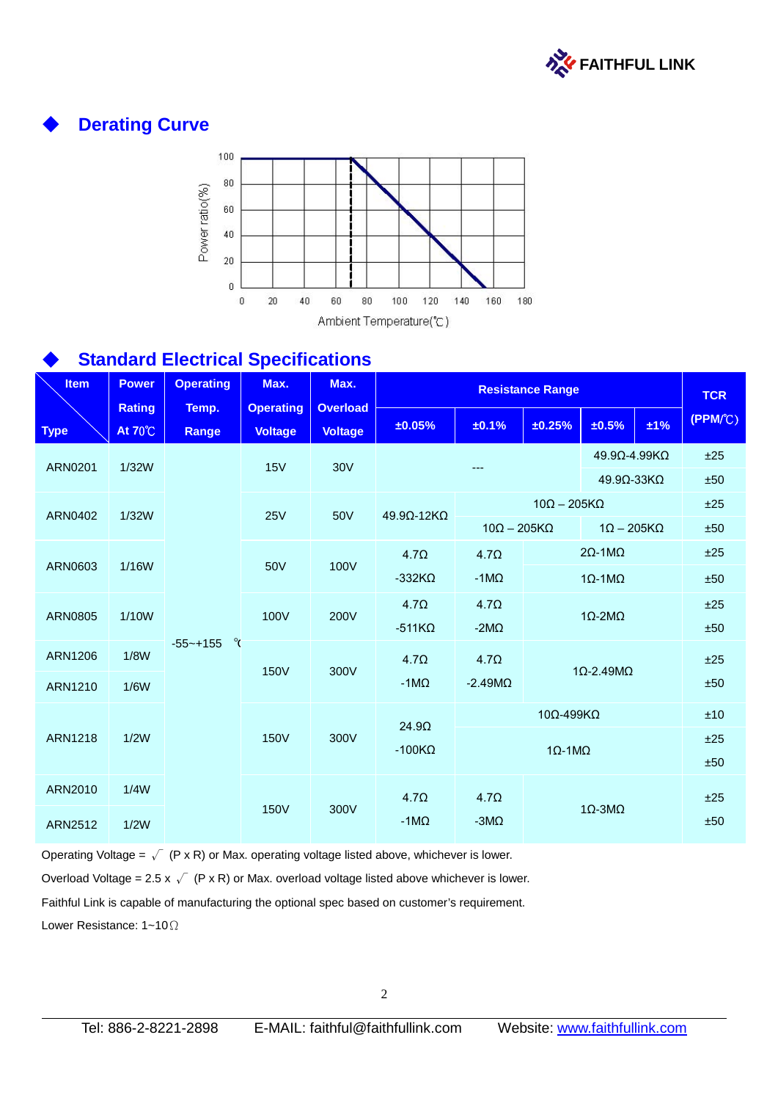

# **Derating Curve**



# **Standard Electrical Specifications**

| <b>Item</b>    | <b>Power</b>                    | <b>Operating</b>  | Max.                               | Max.                              | <b>Resistance Range</b>  |                                                                                                                |                                                   | <b>TCR</b>                      |                          |         |     |
|----------------|---------------------------------|-------------------|------------------------------------|-----------------------------------|--------------------------|----------------------------------------------------------------------------------------------------------------|---------------------------------------------------|---------------------------------|--------------------------|---------|-----|
| <b>Type</b>    | <b>Rating</b><br><b>At 70°C</b> | Temp.<br>Range    | <b>Operating</b><br><b>Voltage</b> | <b>Overload</b><br><b>Voltage</b> | ±0.05%                   | ±0.1%                                                                                                          | ±0.25%                                            | ±0.5%                           | $±1\%$                   | (PPM/C) |     |
| ARN0201        | 1/32W                           |                   | 15V                                | <b>30V</b>                        |                          |                                                                                                                |                                                   | $49.9$ $\Omega$ -4.99K $\Omega$ |                          | ±25     |     |
|                |                                 |                   |                                    |                                   |                          |                                                                                                                |                                                   |                                 | $49.9\Omega - 33K\Omega$ | ±50     |     |
| <b>ARN0402</b> | 1/32W                           |                   | <b>25V</b>                         | 50V                               | $49.9\Omega - 12K\Omega$ |                                                                                                                | $10\Omega - 205K\Omega$                           |                                 |                          | ±25     |     |
|                |                                 |                   |                                    |                                   |                          |                                                                                                                | $10\Omega - 205K\Omega$<br>$1\Omega - 205K\Omega$ |                                 | ±50                      |         |     |
|                |                                 |                   |                                    |                                   | $4.7\Omega$              | $4.7\Omega$                                                                                                    |                                                   | $2\Omega - 1 M\Omega$           |                          | ±25     |     |
| ARN0603        | 1/16W                           |                   | 50V                                | 100V                              | $-332K\Omega$            | $-1$ M $\Omega$                                                                                                | $1\Omega - 1\text{M}\Omega$                       |                                 | ±50                      |         |     |
|                |                                 |                   |                                    |                                   | $4.7\Omega$              | $4.7\Omega$                                                                                                    |                                                   |                                 |                          | ±25     |     |
| <b>ARN0805</b> | 1/10W                           |                   | 100V                               | 200V                              | $-511K\Omega$            | -2M $\Omega$                                                                                                   |                                                   | $1\Omega$ -2M $\Omega$          |                          | ±50     |     |
| <b>ARN1206</b> | 1/8W                            | ୍<br>$-55 - +155$ |                                    |                                   | $4.7\Omega$              | $4.7\Omega$                                                                                                    |                                                   |                                 |                          | ±25     |     |
| ARN1210        | 1/6W                            |                   | 150V                               | 300V                              | $-1M\Omega$              | $-2.49M\Omega$                                                                                                 |                                                   | $1\Omega$ -2.49M $\Omega$       |                          | ±50     |     |
|                |                                 |                   |                                    |                                   |                          | 24.9 <omega< td=""><td></td><td><math>10\Omega - 499K\Omega</math></td><td></td><td></td><td>±10</td></omega<> |                                                   | $10\Omega - 499K\Omega$         |                          |         | ±10 |
| <b>ARN1218</b> | 1/2W                            |                   | <b>150V</b>                        | 300V                              | $-100K\Omega$            |                                                                                                                |                                                   |                                 |                          | ±25     |     |
|                |                                 |                   |                                    |                                   |                          |                                                                                                                |                                                   | $1\Omega - 1\text{M}\Omega$     |                          | ±50     |     |
| ARN2010        | 1/4W                            |                   |                                    |                                   | 4.7 <sub>Ω</sub>         | $4.7\Omega$                                                                                                    |                                                   |                                 |                          | ±25     |     |
| <b>ARN2512</b> | 1/2W                            |                   | 150V                               | 300V                              | -1 $M\Omega$             | $-3M\Omega$                                                                                                    |                                                   | $1\Omega$ -3M $\Omega$          |                          | ±50     |     |

Operating Voltage =  $\sqrt{P}$  (P x R) or Max. operating voltage listed above, whichever is lower. Overload Voltage = 2.5 x  $\sqrt{ }$  (P x R) or Max. overload voltage listed above whichever is lower.

Faithful Link is capable of manufacturing the optional spec based on customer's requirement.

Lower Resistance: 1~10Ω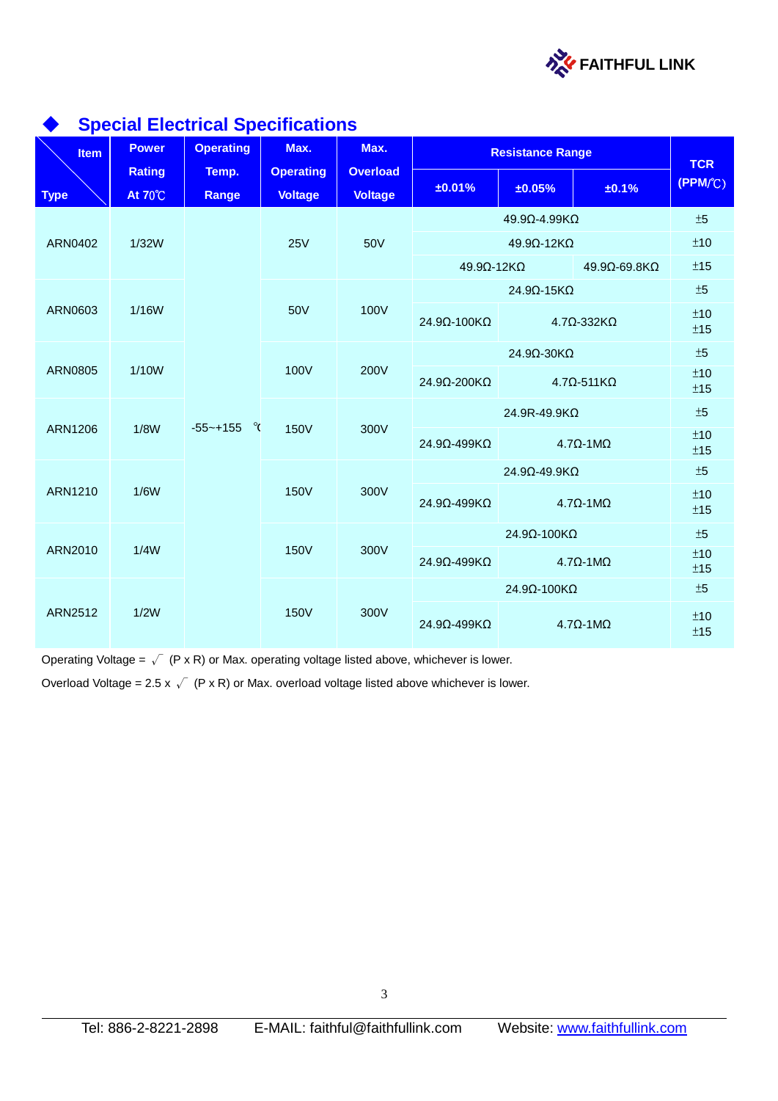

| <b>Item</b>    | $\sim$ $\sim$ $\sim$ $\sim$ $\sim$<br><b>Power</b> | $\sim$<br><b>Operating</b> | Max.                               | Max.                              |                                               | <b>Resistance Range</b>  |                                | <b>TCR</b> |  |
|----------------|----------------------------------------------------|----------------------------|------------------------------------|-----------------------------------|-----------------------------------------------|--------------------------|--------------------------------|------------|--|
| <b>Type</b>    | <b>Rating</b><br><b>At 70°C</b>                    | Temp.<br>Range             | <b>Operating</b><br><b>Voltage</b> | <b>Overload</b><br><b>Voltage</b> | ±0.01%                                        | ±0.05%                   | ±0.1%                          | (PPM/C)    |  |
|                |                                                    |                            | <b>25V</b>                         |                                   |                                               | 49.9Ω-4.99KΩ             |                                |            |  |
| ARN0402        | 1/32W                                              |                            |                                    | 50V                               |                                               | $49.9\Omega - 12K\Omega$ |                                | ±10        |  |
|                |                                                    |                            |                                    |                                   | 49.9Ω-12KΩ                                    |                          | 49.9Ω-69.8KΩ                   | ±15        |  |
|                |                                                    |                            |                                    |                                   |                                               | $24.9\Omega - 15K\Omega$ |                                | $\pm 5$    |  |
| ARN0603        | 1/16W                                              |                            | 50V                                | 100V                              | 24.9Ω-100KΩ                                   | $4.7Ω - 332KΩ$           |                                | ±10<br>±15 |  |
|                |                                                    |                            |                                    |                                   |                                               | 24.9Ω-30KΩ               |                                |            |  |
| <b>ARN0805</b> | 1/10W                                              |                            | 100V                               | 200V                              | 24.9Ω-200KΩ                                   | $4.7\Omega - 511K\Omega$ |                                |            |  |
|                |                                                    |                            |                                    | 300V                              |                                               | 24.9R-49.9KΩ             |                                | ±5         |  |
| <b>ARN1206</b> | 1/8W                                               | $-55$ ~+155 $\degree$      | <b>150V</b>                        |                                   | 24.9Ω-499KΩ                                   |                          | $4.7\Omega - 1 \text{M}\Omega$ | ±10<br>±15 |  |
|                |                                                    |                            |                                    |                                   |                                               | 24.9Ω-49.9KΩ             |                                | ±5         |  |
| ARN1210        | 1/6W                                               |                            | <b>150V</b>                        | 300V                              | 24.9Ω-499KΩ<br>$4.7\Omega - 1 \text{M}\Omega$ |                          |                                | ±10<br>±15 |  |
|                |                                                    |                            |                                    |                                   |                                               | 24.9Ω-100KΩ              |                                | ±5         |  |
| ARN2010        | 1/4W                                               |                            | <b>150V</b>                        | 300V                              | 24.9Ω-499KΩ                                   |                          | $4.7\Omega - 1 \text{M}\Omega$ | ±10<br>±15 |  |
|                |                                                    |                            |                                    |                                   |                                               | 24.9Ω-100KΩ              |                                | ±5         |  |
| <b>ARN2512</b> | 1/2W                                               |                            | <b>150V</b>                        | 300V                              | $24.9\Omega - 499K\Omega$                     |                          | $4.7\Omega - 1 \text{M}\Omega$ | ±10<br>±15 |  |

#### **Special Electrical Specifications**

Operating Voltage =  $\sqrt{P}$  (P x R) or Max. operating voltage listed above, whichever is lower.

Overload Voltage = 2.5 x  $\sqrt{ }$  (P x R) or Max. overload voltage listed above whichever is lower.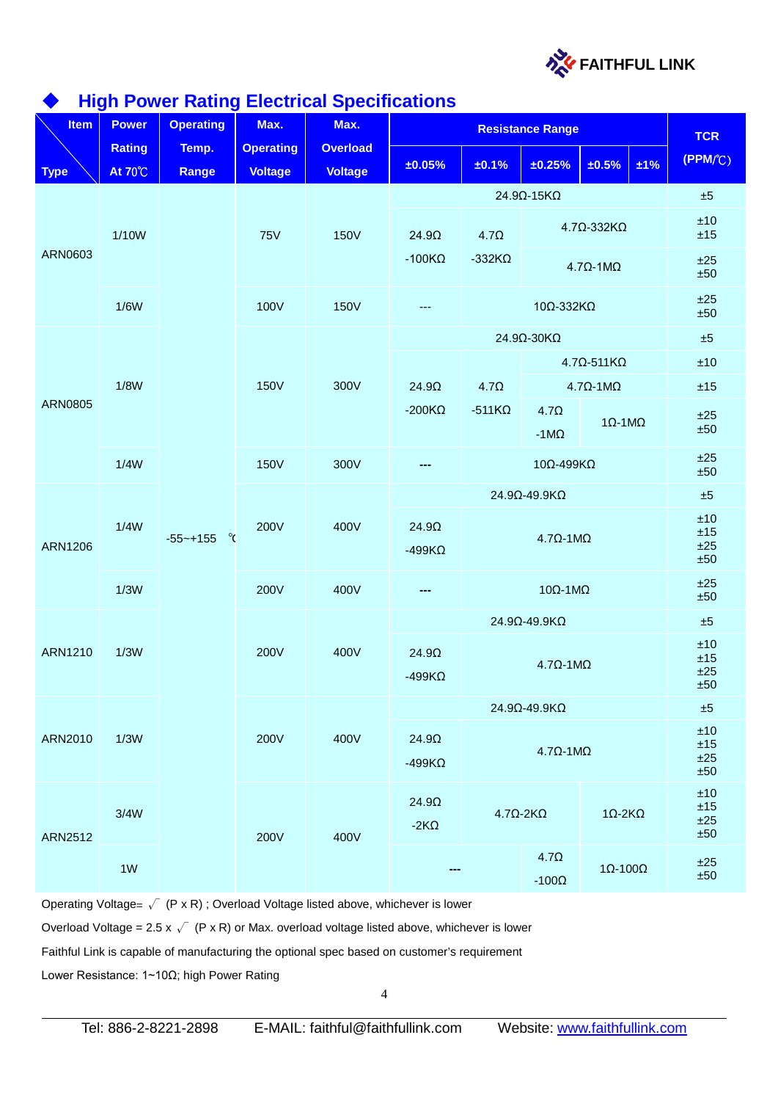

# **High Power Rating Electrical Specifications**

| <b>Item</b>    | J--<br><b>Power</b>             | <b>Operating</b>        | ಀ<br>Max.                          | Max.                              | <b>Resistance Range</b>       |                                                                                                                                                |                                                  |                                | <b>TCR</b>               |                               |
|----------------|---------------------------------|-------------------------|------------------------------------|-----------------------------------|-------------------------------|------------------------------------------------------------------------------------------------------------------------------------------------|--------------------------------------------------|--------------------------------|--------------------------|-------------------------------|
| <b>Type</b>    | <b>Rating</b><br><b>At 70°C</b> | Temp.<br>Range          | <b>Operating</b><br><b>Voltage</b> | <b>Overload</b><br><b>Voltage</b> | ±0.05%                        | ±0.1%                                                                                                                                          | ±0.25%                                           | ±0.5%                          | ±1%                      | (PPM/C)                       |
|                |                                 |                         |                                    |                                   |                               |                                                                                                                                                | $24.9\Omega - 15K\Omega$                         |                                |                          | $\pm 5$                       |
|                | 1/10W                           |                         | <b>75V</b>                         | <b>150V</b>                       | $24.9\Omega$                  | 4.7 <omega< td=""><td></td><td><math>4.7\Omega - 332K\Omega</math></td><td></td><td><math display="inline">\pm 10</math><br/>±15</td></omega<> |                                                  | $4.7\Omega - 332K\Omega$       |                          | $\pm 10$<br>±15               |
| ARN0603        |                                 |                         |                                    |                                   | $-100K\Omega$                 | $-332K\Omega$                                                                                                                                  | $4.7\Omega - 1 \text{M}\Omega$                   |                                | ±25<br>±50               |                               |
|                | 1/6W                            |                         | 100V                               | <b>150V</b>                       | ---                           |                                                                                                                                                | 10Ω-332KΩ                                        |                                |                          | ±25<br>±50                    |
|                |                                 |                         |                                    |                                   |                               |                                                                                                                                                | 24.9Ω-30KΩ                                       |                                |                          | $\pm 5$                       |
|                |                                 |                         |                                    |                                   |                               |                                                                                                                                                |                                                  | $4.7\Omega - 511K\Omega$       |                          | ±10                           |
|                | 1/8W                            |                         | <b>150V</b>                        | 300V                              | $24.9\Omega$                  | $4.7\Omega$                                                                                                                                    |                                                  | $4.7\Omega - 1 \text{M}\Omega$ |                          | ±15                           |
| <b>ARN0805</b> |                                 |                         |                                    |                                   | $-200K\Omega$                 | $-511K\Omega$                                                                                                                                  | $4.7\Omega$<br>-1 $M\Omega$                      | $1\Omega - 1\text{M}\Omega$    |                          | ±25<br>±50                    |
|                | 1/4W                            |                         | <b>150V</b>                        | 300V                              |                               |                                                                                                                                                | 10Ω-499ΚΩ                                        |                                |                          | ±25<br>±50                    |
|                | 1/4W                            |                         | 200V                               |                                   |                               |                                                                                                                                                | 24.9Ω-49.9KΩ                                     |                                |                          | ±5                            |
| <b>ARN1206</b> |                                 | $\alpha$<br>$-55$ ~+155 |                                    | 400V                              | $24.9\Omega$<br>$-499K\Omega$ |                                                                                                                                                | $4.7\Omega - 1 \text{M}\Omega$                   |                                |                          | ±10<br>±15<br>±25<br>±50      |
|                | 1/3W                            |                         | 200V<br>400V<br>---                |                                   |                               | $10Ω-1MΩ$                                                                                                                                      |                                                  |                                | ±25<br>±50               |                               |
|                |                                 |                         |                                    | 400V                              | 24.9Ω-49.9KΩ                  |                                                                                                                                                |                                                  |                                | $\pm 5$                  |                               |
| ARN1210        | 1/3W                            |                         | 200V                               |                                   | $24.9\Omega$<br>$-499K\Omega$ | $4.7\Omega - 1 \text{M}\Omega$                                                                                                                 |                                                  |                                |                          | ±10<br>$\pm 15$<br>±25<br>±50 |
|                |                                 |                         |                                    |                                   | 24.9Ω-49.9KΩ                  |                                                                                                                                                |                                                  | $\pm 5$                        |                          |                               |
| ARN2010        | 1/3W                            |                         | 200V                               | 400V                              | $24.9\Omega$<br>$-499K\Omega$ | $4.7\Omega - 1 \text{M}\Omega$                                                                                                                 |                                                  |                                | ±10<br>±15<br>±25<br>±50 |                               |
| ARN2512        | 3/4W<br>1W                      |                         | 200V                               | 400V                              | $24.9\Omega$<br>$-2K\Omega$   |                                                                                                                                                | $4.7\Omega$ -2K $\Omega$                         | $1\Omega - 2K\Omega$           |                          | ±10<br>±15<br>±25<br>±50      |
|                |                                 |                         |                                    |                                   |                               |                                                                                                                                                | 4.7 <omega<br>-100<math>\Omega</math></omega<br> | $1Ω-100Ω$                      |                          | ±25<br>±50                    |

Operating Voltage=  $\sqrt{P}$  (P x R) ; Overload Voltage listed above, whichever is lower

Overload Voltage = 2.5 x  $\sqrt{ }$  (P x R) or Max. overload voltage listed above, whichever is lower

Faithful Link is capable of manufacturing the optional spec based on customer's requirement

Lower Resistance: 1~10Ω; high Power Rating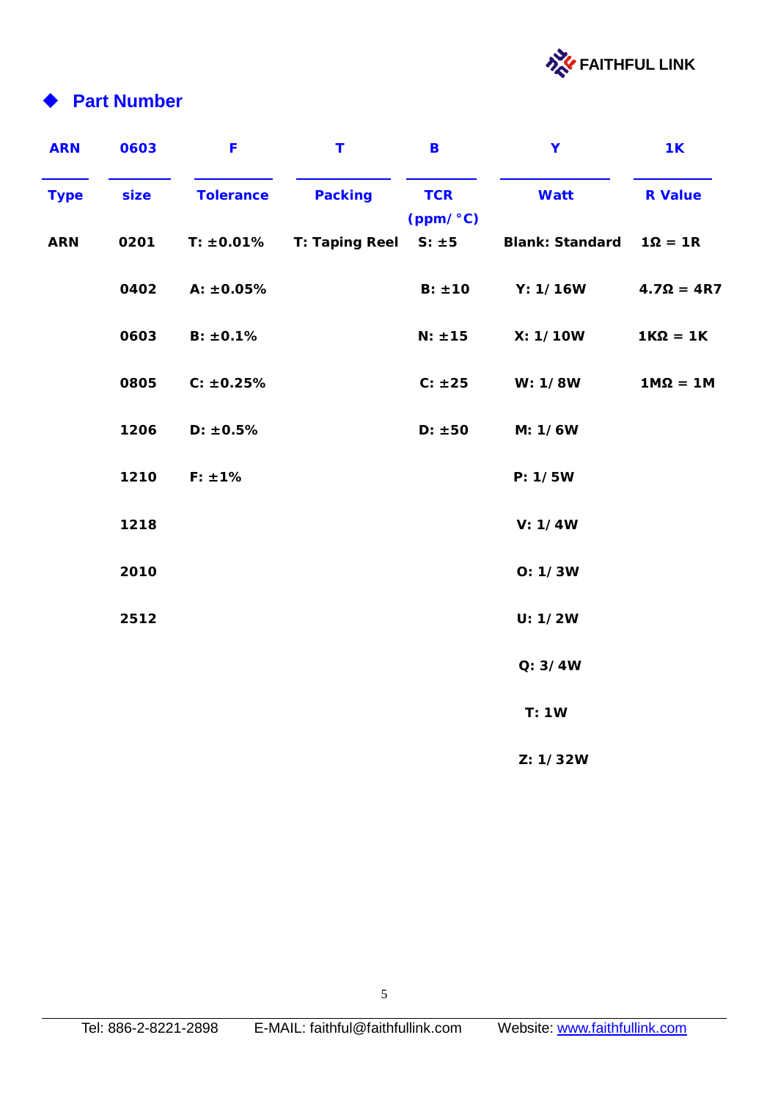

# **Part Number**

| <b>ARN</b>  | 0603 | F                | Т              | B                      | Y                      | <b>1K</b>         |
|-------------|------|------------------|----------------|------------------------|------------------------|-------------------|
| <b>Type</b> | size | <b>Tolerance</b> | <b>Packing</b> | <b>TCR</b><br>(ppm/°C) | <b>Watt</b>            | <b>R</b> Value    |
| <b>ARN</b>  | 0201 | T: ±0.01%        | T: Taping Reel | $S: \pm 5$             | <b>Blank: Standard</b> | $1\Omega = 1R$    |
|             | 0402 | A: ±0.05%        |                | $B: \pm 10$            | Y: 1/16W               | $4.7\Omega = 4R7$ |
|             | 0603 | B: ±0.1%         |                | $N: \pm 15$            | X: 1/10W               | $1K\Omega = 1K$   |
|             | 0805 | C: ±0.25%        |                | C: ±25                 | W: 1/8W                | $1M\Omega = 1M$   |
|             | 1206 | D: ±0.5%         |                | D: ±50                 | M: 1/6W                |                   |
|             | 1210 | $F: \pm 1\%$     |                |                        | P: 1/5W                |                   |
|             | 1218 |                  |                |                        | V: 1/4W                |                   |
|             | 2010 |                  |                |                        | O: 1/3W                |                   |
|             | 2512 |                  |                |                        | U: 1/2W                |                   |
|             |      |                  |                |                        | Q: 3/4W                |                   |
|             |      |                  |                |                        | T: 1W                  |                   |
|             |      |                  |                |                        | Z: 1/32W               |                   |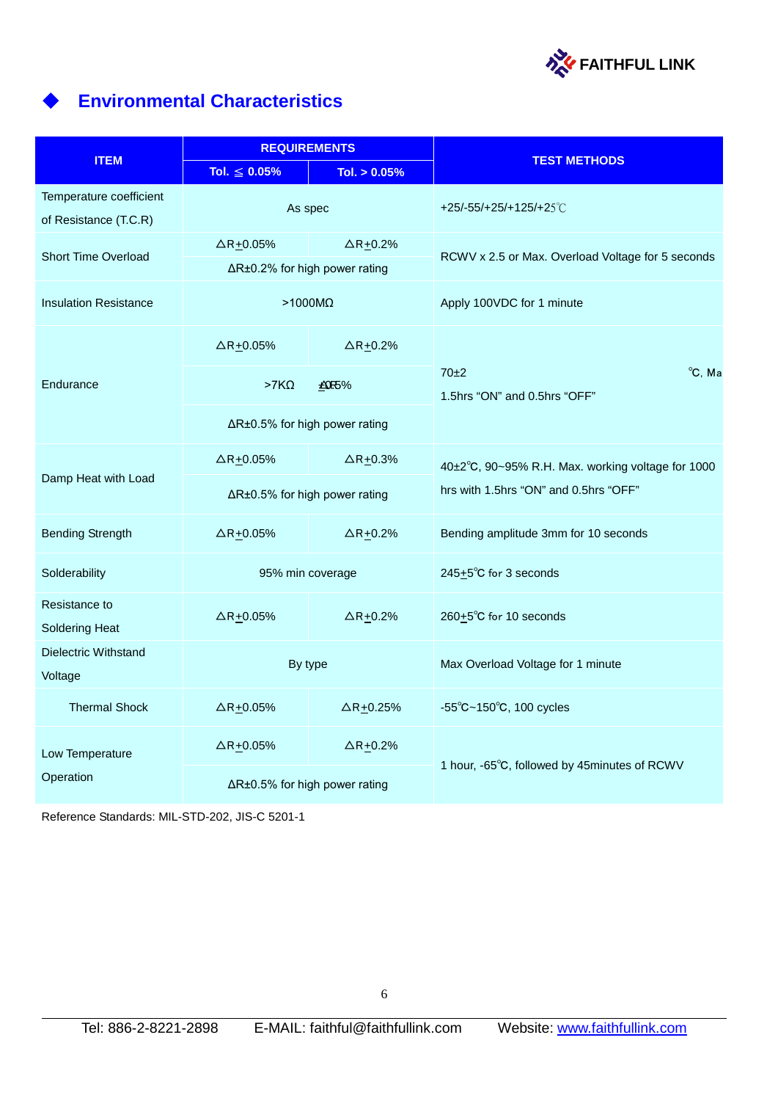

# ◆ **Environmental Characteristics**

|                                                  | <b>REQUIREMENTS</b>           |                                 | <b>TEST METHODS</b>                               |  |  |
|--------------------------------------------------|-------------------------------|---------------------------------|---------------------------------------------------|--|--|
| <b>ITEM</b>                                      | Tol. $\leq 0.05\%$            | Tol. $> 0.05\%$                 |                                                   |  |  |
| Temperature coefficient<br>of Resistance (T.C.R) | As spec                       |                                 | +25/-55/+25/+125/+25°C                            |  |  |
| <b>Short Time Overload</b>                       | $\Delta$ R+0.05%              | $\triangle$ R <sub>±</sub> 0.2% | RCWV x 2.5 or Max. Overload Voltage for 5 seconds |  |  |
|                                                  | ∆R±0.2% for high power rating |                                 |                                                   |  |  |
| <b>Insulation Resistance</b>                     | $>1000M\Omega$                |                                 | Apply 100VDC for 1 minute                         |  |  |
|                                                  | $\Delta$ R+0.05%              | $\triangle$ R+0.2%              |                                                   |  |  |
| Endurance                                        | $>7K\Omega$                   | <b>£0.5%</b>                    | 70±2<br>°C, Ma<br>1.5hrs "ON" and 0.5hrs "OFF"    |  |  |
|                                                  | ∆R±0.5% for high power rating |                                 |                                                   |  |  |
|                                                  | $\Delta$ R+0.05%              | $\triangle$ R <sub>±</sub> 0.3% | 40±2°C, 90~95% R.H. Max. working voltage for 1000 |  |  |
| Damp Heat with Load                              | ∆R±0.5% for high power rating |                                 | hrs with 1.5hrs "ON" and 0.5hrs "OFF"             |  |  |
| <b>Bending Strength</b>                          | $\Delta$ R+0.05%              | $\triangle$ R+0.2%              | Bending amplitude 3mm for 10 seconds              |  |  |
| Solderability                                    | 95% min coverage              |                                 | 245+5°C for 3 seconds                             |  |  |
| Resistance to<br><b>Soldering Heat</b>           | $\Delta$ R+0.05%              | $\triangle$ R+0.2%              | 260+5°C for 10 seconds                            |  |  |
| Dielectric Withstand<br>Voltage                  | By type                       |                                 | Max Overload Voltage for 1 minute                 |  |  |
| <b>Thermal Shock</b>                             | $\Delta$ R+0.05%              | $\Delta$ R+0.25%                | $-55^{\circ}$ C $-150^{\circ}$ C, 100 cycles      |  |  |
| Low Temperature                                  | $\Delta$ R $\pm$ 0.05%        | $\triangle$ R+0.2%              | 1 hour, -65°C, followed by 45minutes of RCWV      |  |  |
| Operation                                        | ∆R±0.5% for high power rating |                                 |                                                   |  |  |

Reference Standards: MIL-STD-202, JIS-C 5201-1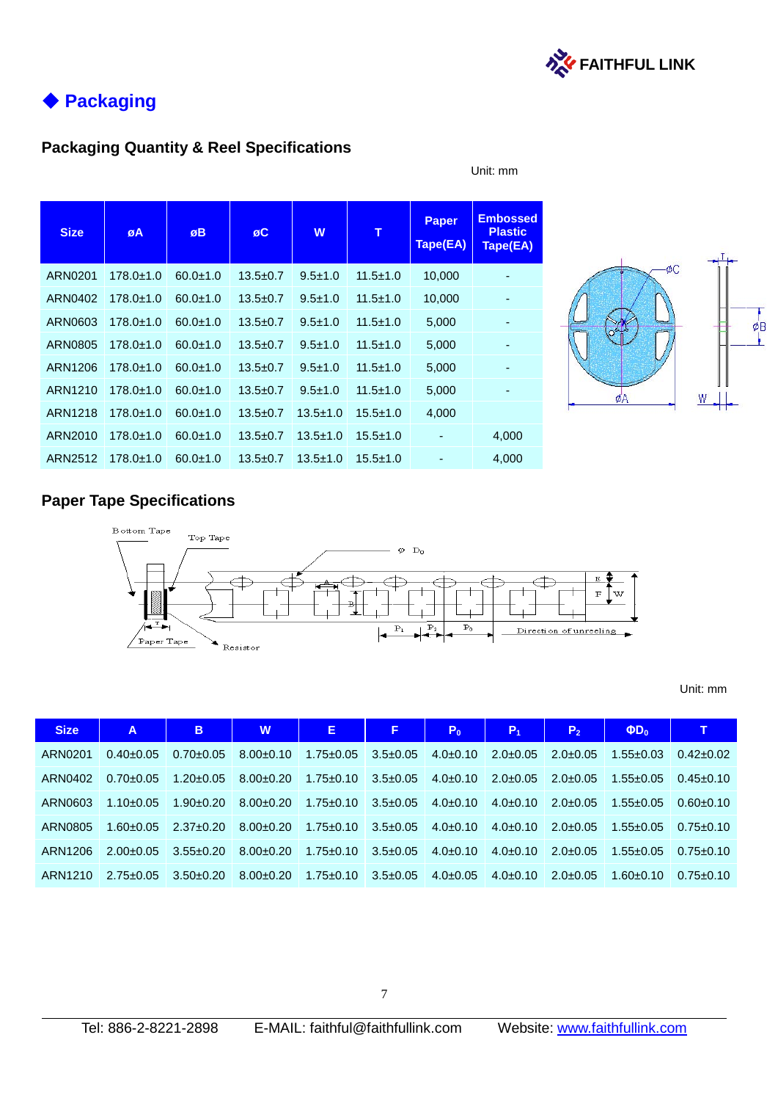

# ◆ **Packaging**

### **Packaging Quantity & Reel Specifications**

| <b>Size</b>    | øA              | øB             | øC             | W              | т              | <b>Paper</b><br>Tape(EA) | <b>Embossed</b><br><b>Plastic</b><br>Tape(EA) |
|----------------|-----------------|----------------|----------------|----------------|----------------|--------------------------|-----------------------------------------------|
| ARN0201        | $178.0 \pm 1.0$ | $60.0 \pm 1.0$ | $13.5 \pm 0.7$ | $9.5 \pm 1.0$  | $11.5 \pm 1.0$ | 10,000                   |                                               |
| ARN0402        | $178.0 \pm 1.0$ | $60.0 \pm 1.0$ | $13.5 \pm 0.7$ | $9.5 \pm 1.0$  | $11.5 \pm 1.0$ | 10,000                   |                                               |
| ARN0603        | $178.0 \pm 1.0$ | $60.0 + 1.0$   | $13.5 \pm 0.7$ | $9.5 \pm 1.0$  | $11.5 \pm 1.0$ | 5,000                    | ٠                                             |
| <b>ARN0805</b> | $178.0 \pm 1.0$ | $60.0 + 1.0$   | $13.5 \pm 0.7$ | $9.5 \pm 1.0$  | $11.5 \pm 1.0$ | 5,000                    | -                                             |
| ARN1206        | $178.0 \pm 1.0$ | $60.0 + 1.0$   | $13.5 \pm 0.7$ | $9.5 \pm 1.0$  | $11.5 \pm 1.0$ | 5,000                    |                                               |
| ARN1210        | $178.0 \pm 1.0$ | $60.0 \pm 1.0$ | $13.5 + 0.7$   | $9.5 \pm 1.0$  | $11.5 \pm 1.0$ | 5,000                    |                                               |
| ARN1218        | $178.0 \pm 1.0$ | $60.0 \pm 1.0$ | $13.5 \pm 0.7$ | $13.5 \pm 1.0$ | $15.5 \pm 1.0$ | 4,000                    |                                               |
| ARN2010        | $178.0 \pm 1.0$ | $60.0 \pm 1.0$ | $13.5 \pm 0.7$ | $13.5 \pm 1.0$ | $15.5 \pm 1.0$ | ۰                        | 4,000                                         |
| ARN2512        | $178.0 \pm 1.0$ | $60.0 \pm 1.0$ | $13.5 \pm 0.7$ | $13.5 \pm 1.0$ | $15.5 \pm 1.0$ |                          | 4,000                                         |

#### Unit: mm



### **Paper Tape Specifications**



#### Unit: mm

| <b>Size</b> | A               | B               | W               | Е.              | F.             | P <sub>0</sub> | $P_1$         | P <sub>2</sub> | $\Phi D_0$      | т               |
|-------------|-----------------|-----------------|-----------------|-----------------|----------------|----------------|---------------|----------------|-----------------|-----------------|
| ARN0201     | $0.40 \pm 0.05$ | $0.70 \pm 0.05$ | $8.00+0.10$     | $1.75 \pm 0.05$ | $3.5 \pm 0.05$ | $4.0\pm0.10$   | $2.0\pm 0.05$ | $2.0 + 0.05$   | $1.55 \pm 0.03$ | $0.42 \pm 0.02$ |
| ARN0402     | $0.70 + 0.05$   | $1.20 \pm 0.05$ | $8.00 + 0.20$   | $1.75 \pm 0.10$ | $3.5 \pm 0.05$ | $4.0\pm0.10$   | $2.0\pm 0.05$ | $2.0 + 0.05$   | $1.55 \pm 0.05$ | $0.45 \pm 0.10$ |
| ARN0603     | $1.10 \pm 0.05$ | $1.90+0.20$     | $8.00+0.20$     | $1.75 \pm 0.10$ | $3.5 \pm 0.05$ | $4.0\pm0.10$   | $4.0\pm0.10$  | $2.0 + 0.05$   | $1.55 \pm 0.05$ | $0.60 + 0.10$   |
| ARN0805     | $1.60 + 0.05$   | $2.37 \pm 0.20$ | $8.00+0.20$     | $1.75 \pm 0.10$ | $3.5 \pm 0.05$ | $4.0\pm0.10$   | $4.0 + 0.10$  | $2.0 + 0.05$   | $1.55 + 0.05$   | $0.75 \pm 0.10$ |
| ARN1206     | $2.00+0.05$     | $3.55 + 0.20$   | $8.00 \pm 0.20$ | $1.75 \pm 0.10$ | $3.5 \pm 0.05$ | $4.0\pm0.10$   | $4.0 + 0.10$  | $2.0 + 0.05$   | $1.55 + 0.05$   | $0.75 \pm 0.10$ |
| ARN1210     | $2.75 \pm 0.05$ | $3.50+0.20$     | $8.00 \pm 0.20$ | $1.75 \pm 0.10$ | $3.5\pm0.05$   | $4.0\pm0.05$   | $4.0\pm0.10$  | $2.0 + 0.05$   | $1.60 + 0.10$   | $0.75 \pm 0.10$ |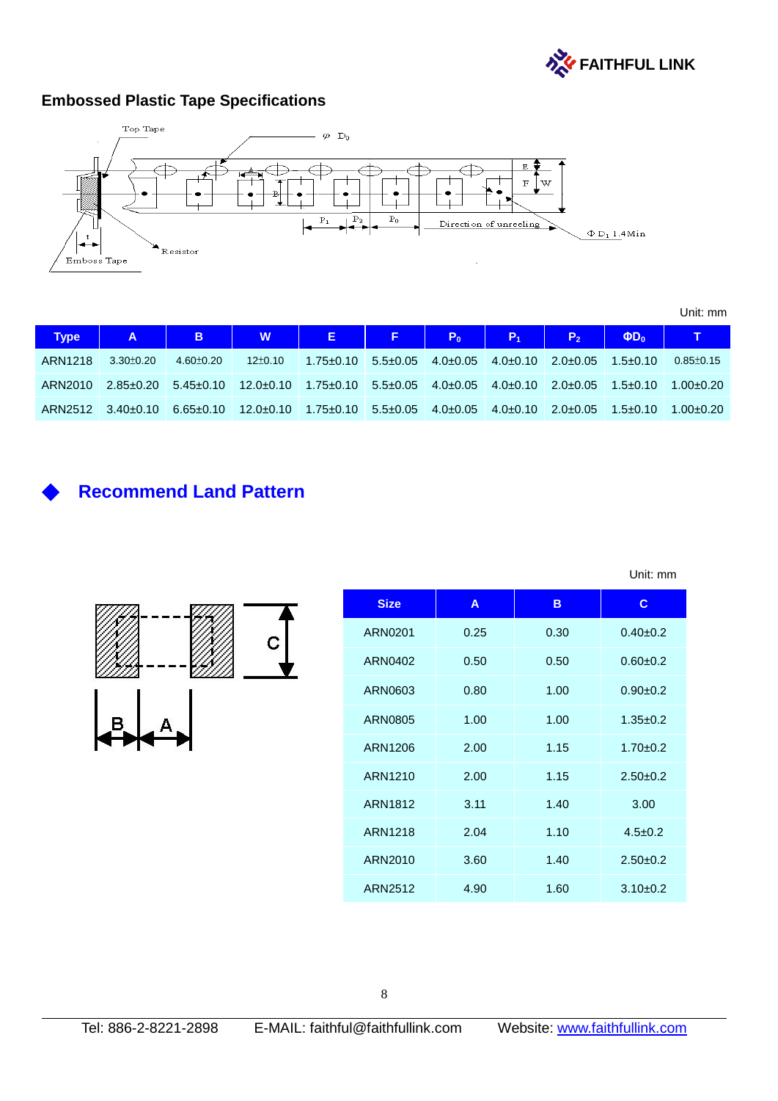

# **Embossed Plastic Tape Specifications**



Unit: mm

| <b>Type</b> | $\overline{A}$                                                                                                        | <b>CONTRACTOR</b> |                                                                                               |                 |  | $P_1$                                                    | P <sub>2</sub> | $\Phi D_0$     |                 |
|-------------|-----------------------------------------------------------------------------------------------------------------------|-------------------|-----------------------------------------------------------------------------------------------|-----------------|--|----------------------------------------------------------|----------------|----------------|-----------------|
| ARN1218     | $3.30 \pm 0.20$                                                                                                       | 4.60±0.20         | $12\pm0.10$                                                                                   | $1.75 \pm 0.10$ |  | $5.5\pm0.05$ 4.0 $\pm0.05$ 4.0 $\pm0.10$ 2.0 $\pm0.05$ 1 |                | $1.5 \pm 0.10$ | $0.85 \pm 0.15$ |
|             | $ARN2010$ $2.85\pm0.20$ $5.45\pm0.10$ $12.0\pm0.10$ $1.75\pm0.10$ $5.5\pm0.05$ $4.0\pm0.05$ $4.0\pm0.10$ $2.0\pm0.05$ |                   |                                                                                               |                 |  |                                                          |                | $1.5 \pm 0.10$ | $1.00 \pm 0.20$ |
|             | ARN2512 3.40±0.10                                                                                                     |                   | $6.65\pm0.10$ $12.0\pm0.10$ $1.75\pm0.10$ $5.5\pm0.05$ $4.0\pm0.05$ $4.0\pm0.10$ $2.0\pm0.05$ |                 |  |                                                          |                | $1.5 + 0.10$   | $1.00 \pm 0.20$ |

Unit: mm

# **Recommend Land Pattern**

|  | С |
|--|---|
|  |   |

| <b>Size</b>    | A    | B    | $\mathbf{C}$   |
|----------------|------|------|----------------|
| ARN0201        | 0.25 | 0.30 | $0.40+0.2$     |
| ARN0402        | 0.50 | 0.50 | $0.60 + 0.2$   |
| ARN0603        | 0.80 | 1.00 | $0.90+0.2$     |
| <b>ARN0805</b> | 1.00 | 1.00 | $1.35 \pm 0.2$ |
| ARN1206        | 2.00 | 1.15 | $1.70 + 0.2$   |
| ARN1210        | 2.00 | 1.15 | $2.50+0.2$     |
| ARN1812        | 3.11 | 1.40 | 3.00           |
| ARN1218        | 2.04 | 1.10 | $4.5 + 0.2$    |
| ARN2010        | 3.60 | 1.40 | $2.50+0.2$     |
| ARN2512        | 4.90 | 1.60 | $3.10 + 0.2$   |